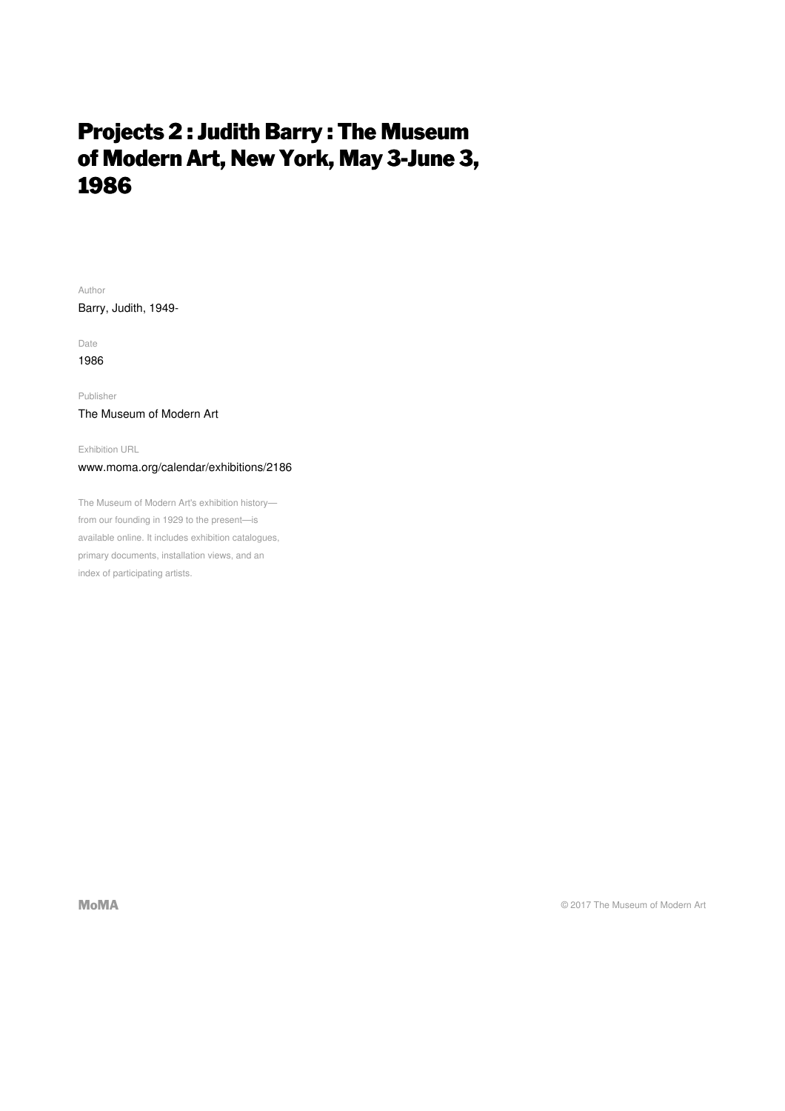# Projects 2 : Judith Barry : The Museum of Modern Art, New York, May 3-June 3, 1986

Author

Barry, Judith, 1949-

Date

1986

Publisher

The Museum of Modern Art

Exhibition URL [www.moma.org/calendar/exhibitions/2186](https://www.moma.org/calendar/exhibitions/2186)

The Museum of Modern Art's exhibition history from our founding in 1929 to the present—is available online. It includes exhibition catalogues, primary documents, installation views, and an index of participating artists.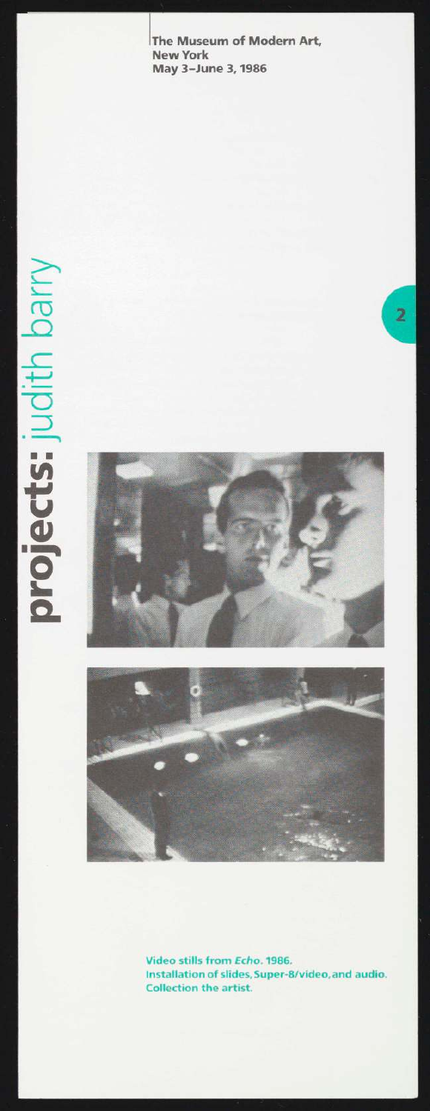The Museum of Modern Art, New York May 3-June 3, 1986 **>, ru**



 $\overline{2}$ 



**Video stills from Echo. 1986. Installation of slides, Super-8/video, and audio. Collection the artist.**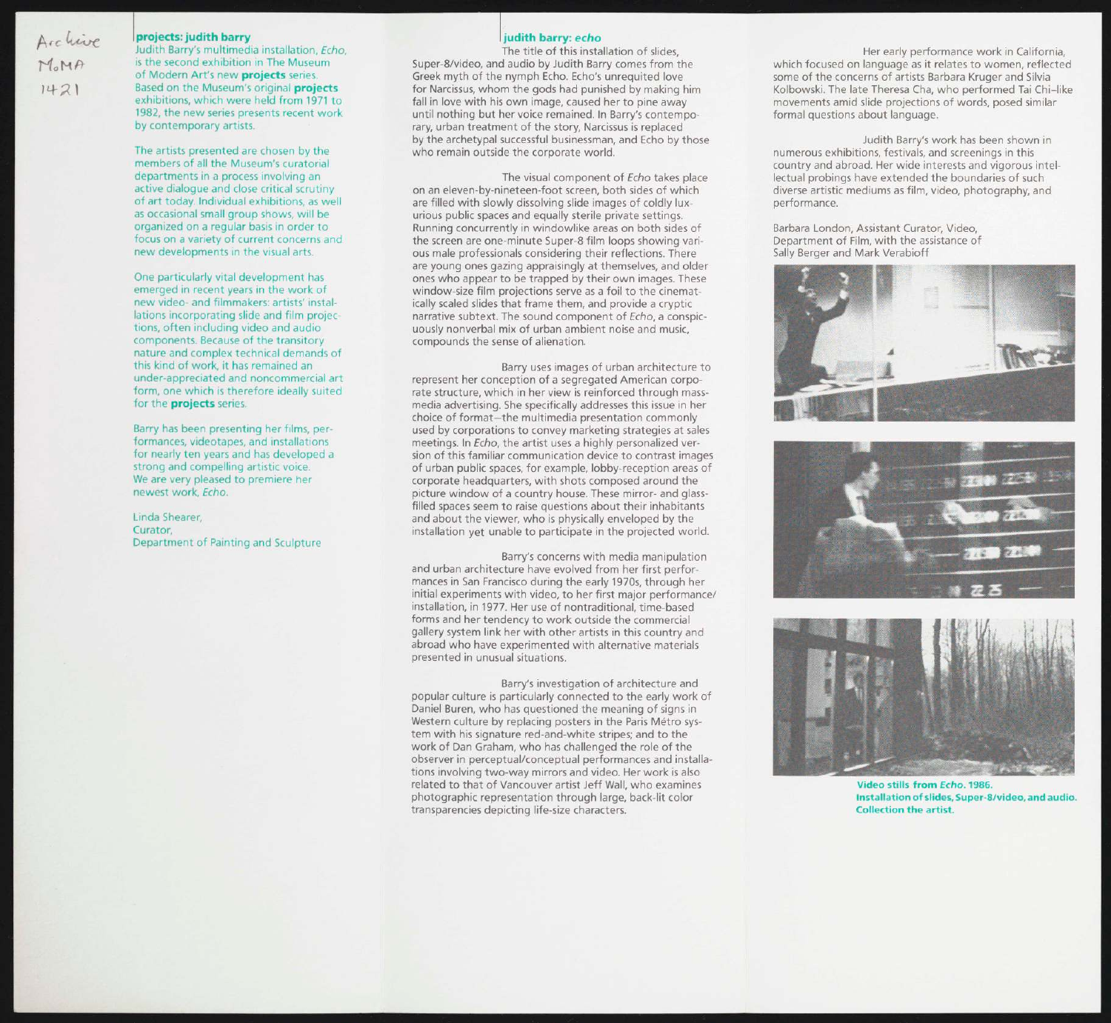# Archive HoMA  $1421$

## **projects: judith barry**

Judith Barry's multimedia installation, Echo, is the second exhibition in The Museum of Modern Art's new **projects** series. Based on the Museum's original **projects** exhibitions, which were held from 1971 to 1982, the new series presents recent work by contemporary artists.

The artists presented are chosen by the members of all the Museum's curatorial departments in a process involving an active dialogue and close critical scrutiny of art today. Individual exhibitions, as well as occasional small group shows, will be organized on a regular basis in order to focus on a variety of current concerns and new developments in the visual arts.

One particularly vital development has emerged in recent years in the work of new video- and filmmakers: artists' instal lations incorporating slide and film projec tions, often including video and audio components. Because of the transitory nature and complex technical demands of this kind of work, it has remained an under-appreciated and noncommercial art form, one which is therefore ideally suited for the **projects** series.

Barry has been presenting her films, per formances, videotapes, and installations for nearly ten years and has developed a strong and compelling artistic voice. We are very pleased to premiere her newest work, Echo.

#### Linda Shearer, Curator, Department of Painting and Sculpture

#### **judith barry: echo**

The title of this installation of slides, Super-8/video, and audio by Judith Barry comes from the Greek myth of the nymph Echo. Echo's unrequited love for Narcissus, whom the gods had punished by making him fall in love with his own image, caused her to pine away until nothing but her voice remained. In Barry's contempo rary, urban treatment of the story, Narcissus is replaced by the archetypal successful businessman, and Echo by those who remain outside the corporate world.

The visual component of Echo takes place on an eleven-by-nineteen-foot screen, both sides of which are filled with slowly dissolving slide images of coldly lux urious public spaces and equally sterile private settings. Running concurrently in windowlike areas on both sides of the screen are one-minute Super-8 film loops showing vari ous male professionals considering their reflections. There are young ones gazing appraisingly at themselves, and older ones who appear to be trapped by their own images. These window-size film projections serve as a foil to the cinematically scaled slides that frame them, and provide a cryptic narrative subtext. The sound component of Echo, a conspic uously nonverbal mix of urban ambient noise and music, compounds the sense of alienation.

Barry uses images of urban architecture to represent her conception of a segregated American corpo rate structure, which in her view is reinforced through massmedia advertising. She specifically addresses this issue in her choice of format— the multimedia presentation commonly used by corporations to convey marketing strategies at sales meetings. In Echo, the artist uses a highly personalized ver sion of this familiar communication device to contrast images of urban public spaces, for example, lobby-reception areas of corporate headquarters, with shots composed around the picture window of a country house. These mirror- and glassfilled spaces seem to raise questions about their inhabitants and about the viewer, who is physically enveloped by the installation yet unable to participate in the projected world.

Barry's concerns with media manipulation and urban architecture have evolved from her first perfor mances in San Francisco during the early 1970s, through her initial experiments with video, to her first major performance/ installation, in 1977. Her use of nontraditional, time-based forms and her tendency to work outside the commercial gallery system link her with other artists in this country and abroad who have experimented with alternative materials presented in unusual situations.

Barry's investigation of architecture and popular culture is particularly connected to the early work of Daniel Buren, who has questioned the meaning of signs in Western culture by replacing posters in the Paris Métro system with his signature red-and-white stripes; and to the work of Dan Graham, who has challenged the role of the observer in perceptual/conceptual performances and installa tions involving two-way mirrors and video. Her work is also related to that of Vancouver artist Jeff Wall, who examines photographic representation through large, back-lit color transparencies depicting life-size characters.

Her early performance work in California, which focused on language as it relates to women, reflected some of the concerns of artists Barbara Kruger and Silvia Kolbowski. The late Theresa Cha, who performed Tai Chi-like movements amid slide projections of words, posed similar formal questions about language.

Judith Barry's work has been shown in numerous exhibitions, festivals, and screenings in this country and abroad. Her wide interests and vigorous intel lectual probings have extended the boundaries of such diverse artistic mediums as film, video, photography, and performance.

Barbara London, Assistant Curator, Video, Department of Film, with the assistance of Sally Berger and Mark Verabioff







Video stills from Echo. 1986. Installation of slides, Super-8/video, and audio. Collection the artist.